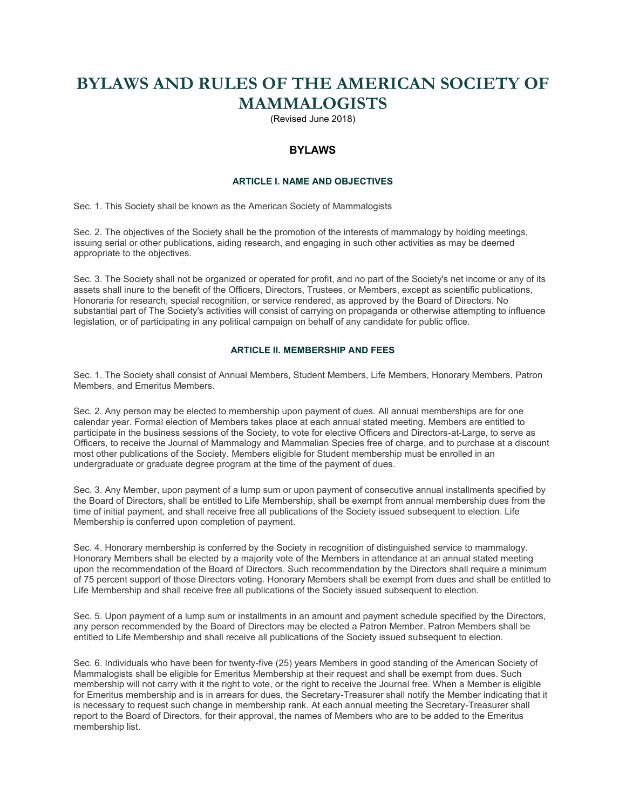# **BYLAWS AND RULES OF THE AMERICAN SOCIETY OF MAMMALOGISTS**

(Revised June 2018)

# **BYLAWS**

## **ARTICLE I. NAME AND OBJECTIVES**

Sec. 1. This Society shall be known as the American Society of Mammalogists

Sec. 2. The objectives of the Society shall be the promotion of the interests of mammalogy by holding meetings, issuing serial or other publications, aiding research, and engaging in such other activities as may be deemed appropriate to the objectives.

Sec. 3. The Society shall not be organized or operated for profit, and no part of the Society's net income or any of its assets shall inure to the benefit of the Officers, Directors, Trustees, or Members, except as scientific publications, Honoraria for research, special recognition, or service rendered, as approved by the Board of Directors. No substantial part of The Society's activities will consist of carrying on propaganda or otherwise attempting to influence legislation, or of participating in any political campaign on behalf of any candidate for public office.

## **ARTICLE II. MEMBERSHIP AND FEES**

Sec. 1. The Society shall consist of Annual Members, Student Members, Life Members, Honorary Members, Patron Members, and Emeritus Members.

Sec. 2. Any person may be elected to membership upon payment of dues. All annual memberships are for one calendar year. Formal election of Members takes place at each annual stated meeting. Members are entitled to participate in the business sessions of the Society, to vote for elective Officers and Directors-at-Large, to serve as Officers, to receive the Journal of Mammalogy and Mammalian Species free of charge, and to purchase at a discount most other publications of the Society. Members eligible for Student membership must be enrolled in an undergraduate or graduate degree program at the time of the payment of dues.

Sec. 3. Any Member, upon payment of a lump sum or upon payment of consecutive annual installments specified by the Board of Directors, shall be entitled to Life Membership, shall be exempt from annual membership dues from the time of initial payment, and shall receive free all publications of the Society issued subsequent to election. Life Membership is conferred upon completion of payment.

Sec. 4. Honorary membership is conferred by the Society in recognition of distinguished service to mammalogy. Honorary Members shall be elected by a majority vote of the Members in attendance at an annual stated meeting upon the recommendation of the Board of Directors. Such recommendation by the Directors shall require a minimum of 75 percent support of those Directors voting. Honorary Members shall be exempt from dues and shall be entitled to Life Membership and shall receive free all publications of the Society issued subsequent to election.

Sec. 5. Upon payment of a lump sum or installments in an amount and payment schedule specified by the Directors, any person recommended by the Board of Directors may be elected a Patron Member. Patron Members shall be entitled to Life Membership and shall receive all publications of the Society issued subsequent to election.

Sec. 6. Individuals who have been for twenty-five (25) years Members in good standing of the American Society of Mammalogists shall be eligible for Emeritus Membership at their request and shall be exempt from dues. Such membership will not carry with it the right to vote, or the right to receive the Journal free. When a Member is eligible for Emeritus membership and is in arrears for dues, the Secretary-Treasurer shall notify the Member indicating that it is necessary to request such change in membership rank. At each annual meeting the Secretary-Treasurer shall report to the Board of Directors, for their approval, the names of Members who are to be added to the Emeritus membership list.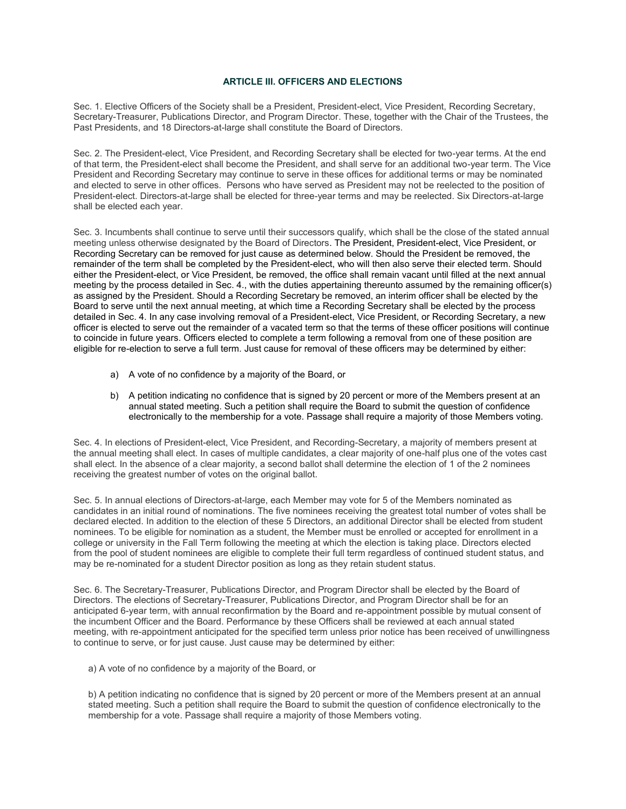## **ARTICLE III. OFFICERS AND ELECTIONS**

Sec. 1. Elective Officers of the Society shall be a President, President-elect, Vice President, Recording Secretary, Secretary-Treasurer, Publications Director, and Program Director. These, together with the Chair of the Trustees, the Past Presidents, and 18 Directors-at-large shall constitute the Board of Directors.

Sec. 2. The President-elect, Vice President, and Recording Secretary shall be elected for two-year terms. At the end of that term, the President-elect shall become the President, and shall serve for an additional two-year term. The Vice President and Recording Secretary may continue to serve in these offices for additional terms or may be nominated and elected to serve in other offices. Persons who have served as President may not be reelected to the position of President-elect. Directors-at-large shall be elected for three-year terms and may be reelected. Six Directors-at-large shall be elected each year.

Sec. 3. Incumbents shall continue to serve until their successors qualify, which shall be the close of the stated annual meeting unless otherwise designated by the Board of Directors. The President, President-elect, Vice President, or Recording Secretary can be removed for just cause as determined below. Should the President be removed, the remainder of the term shall be completed by the President-elect, who will then also serve their elected term. Should either the President-elect, or Vice President, be removed, the office shall remain vacant until filled at the next annual meeting by the process detailed in Sec. 4., with the duties appertaining thereunto assumed by the remaining officer(s) as assigned by the President. Should a Recording Secretary be removed, an interim officer shall be elected by the Board to serve until the next annual meeting, at which time a Recording Secretary shall be elected by the process detailed in Sec. 4. In any case involving removal of a President-elect, Vice President, or Recording Secretary, a new officer is elected to serve out the remainder of a vacated term so that the terms of these officer positions will continue to coincide in future years. Officers elected to complete a term following a removal from one of these position are eligible for re-election to serve a full term. Just cause for removal of these officers may be determined by either:

- a) A vote of no confidence by a majority of the Board, or
- b) A petition indicating no confidence that is signed by 20 percent or more of the Members present at an annual stated meeting. Such a petition shall require the Board to submit the question of confidence electronically to the membership for a vote. Passage shall require a majority of those Members voting.

Sec. 4. In elections of President-elect, Vice President, and Recording-Secretary, a majority of members present at the annual meeting shall elect. In cases of multiple candidates, a clear majority of one-half plus one of the votes cast shall elect. In the absence of a clear majority, a second ballot shall determine the election of 1 of the 2 nominees receiving the greatest number of votes on the original ballot.

Sec. 5. In annual elections of Directors-at-large, each Member may vote for 5 of the Members nominated as candidates in an initial round of nominations. The five nominees receiving the greatest total number of votes shall be declared elected. In addition to the election of these 5 Directors, an additional Director shall be elected from student nominees. To be eligible for nomination as a student, the Member must be enrolled or accepted for enrollment in a college or university in the Fall Term following the meeting at which the election is taking place. Directors elected from the pool of student nominees are eligible to complete their full term regardless of continued student status, and may be re-nominated for a student Director position as long as they retain student status.

Sec. 6. The Secretary-Treasurer, Publications Director, and Program Director shall be elected by the Board of Directors. The elections of Secretary-Treasurer, Publications Director, and Program Director shall be for an anticipated 6-year term, with annual reconfirmation by the Board and re-appointment possible by mutual consent of the incumbent Officer and the Board. Performance by these Officers shall be reviewed at each annual stated meeting, with re-appointment anticipated for the specified term unless prior notice has been received of unwillingness to continue to serve, or for just cause. Just cause may be determined by either:

a) A vote of no confidence by a majority of the Board, or

b) A petition indicating no confidence that is signed by 20 percent or more of the Members present at an annual stated meeting. Such a petition shall require the Board to submit the question of confidence electronically to the membership for a vote. Passage shall require a majority of those Members voting.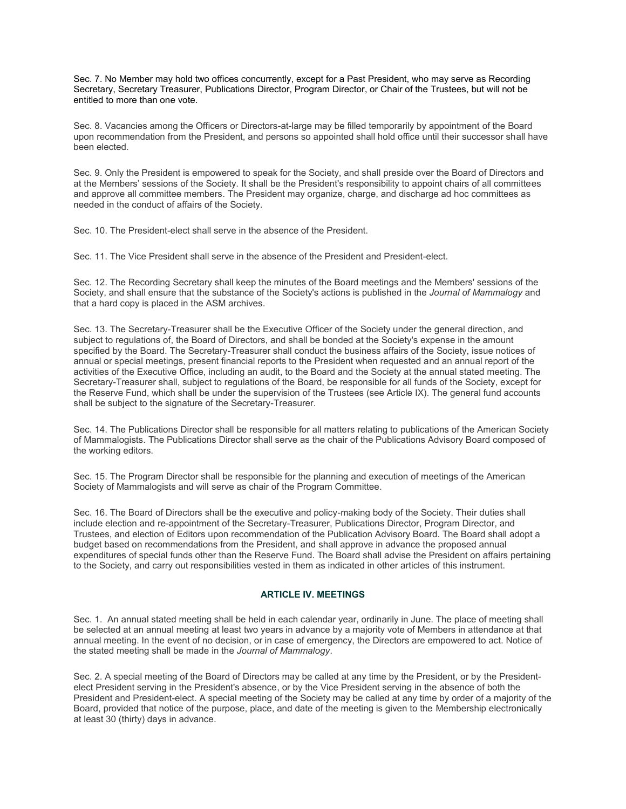Sec. 7. No Member may hold two offices concurrently, except for a Past President, who may serve as Recording Secretary, Secretary Treasurer, Publications Director, Program Director, or Chair of the Trustees, but will not be entitled to more than one vote.

Sec. 8. Vacancies among the Officers or Directors-at-large may be filled temporarily by appointment of the Board upon recommendation from the President, and persons so appointed shall hold office until their successor shall have been elected.

Sec. 9. Only the President is empowered to speak for the Society, and shall preside over the Board of Directors and at the Members' sessions of the Society. It shall be the President's responsibility to appoint chairs of all committees and approve all committee members. The President may organize, charge, and discharge ad hoc committees as needed in the conduct of affairs of the Society.

Sec. 10. The President-elect shall serve in the absence of the President.

Sec. 11. The Vice President shall serve in the absence of the President and President-elect.

Sec. 12. The Recording Secretary shall keep the minutes of the Board meetings and the Members' sessions of the Society, and shall ensure that the substance of the Society's actions is published in the *Journal of Mammalogy* and that a hard copy is placed in the ASM archives.

Sec. 13. The Secretary-Treasurer shall be the Executive Officer of the Society under the general direction, and subject to regulations of, the Board of Directors, and shall be bonded at the Society's expense in the amount specified by the Board. The Secretary-Treasurer shall conduct the business affairs of the Society, issue notices of annual or special meetings, present financial reports to the President when requested and an annual report of the activities of the Executive Office, including an audit, to the Board and the Society at the annual stated meeting. The Secretary-Treasurer shall, subject to regulations of the Board, be responsible for all funds of the Society, except for the Reserve Fund, which shall be under the supervision of the Trustees (see Article IX). The general fund accounts shall be subject to the signature of the Secretary-Treasurer.

Sec. 14. The Publications Director shall be responsible for all matters relating to publications of the American Society of Mammalogists. The Publications Director shall serve as the chair of the Publications Advisory Board composed of the working editors.

Sec. 15. The Program Director shall be responsible for the planning and execution of meetings of the American Society of Mammalogists and will serve as chair of the Program Committee.

Sec. 16. The Board of Directors shall be the executive and policy-making body of the Society. Their duties shall include election and re-appointment of the Secretary-Treasurer, Publications Director, Program Director, and Trustees, and election of Editors upon recommendation of the Publication Advisory Board. The Board shall adopt a budget based on recommendations from the President, and shall approve in advance the proposed annual expenditures of special funds other than the Reserve Fund. The Board shall advise the President on affairs pertaining to the Society, and carry out responsibilities vested in them as indicated in other articles of this instrument.

#### **ARTICLE IV. MEETINGS**

Sec. 1. An annual stated meeting shall be held in each calendar year, ordinarily in June. The place of meeting shall be selected at an annual meeting at least two years in advance by a majority vote of Members in attendance at that annual meeting. In the event of no decision, or in case of emergency, the Directors are empowered to act. Notice of the stated meeting shall be made in the *Journal of Mammalogy*.

Sec. 2. A special meeting of the Board of Directors may be called at any time by the President, or by the Presidentelect President serving in the President's absence, or by the Vice President serving in the absence of both the President and President-elect. A special meeting of the Society may be called at any time by order of a majority of the Board, provided that notice of the purpose, place, and date of the meeting is given to the Membership electronically at least 30 (thirty) days in advance.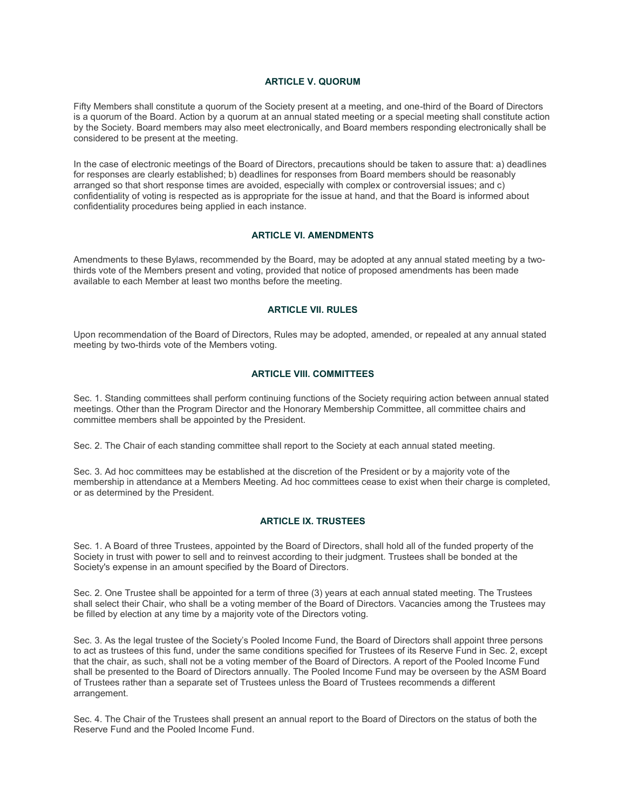## **ARTICLE V. QUORUM**

Fifty Members shall constitute a quorum of the Society present at a meeting, and one-third of the Board of Directors is a quorum of the Board. Action by a quorum at an annual stated meeting or a special meeting shall constitute action by the Society. Board members may also meet electronically, and Board members responding electronically shall be considered to be present at the meeting.

In the case of electronic meetings of the Board of Directors, precautions should be taken to assure that: a) deadlines for responses are clearly established; b) deadlines for responses from Board members should be reasonably arranged so that short response times are avoided, especially with complex or controversial issues; and c) confidentiality of voting is respected as is appropriate for the issue at hand, and that the Board is informed about confidentiality procedures being applied in each instance.

### **ARTICLE VI. AMENDMENTS**

Amendments to these Bylaws, recommended by the Board, may be adopted at any annual stated meeting by a twothirds vote of the Members present and voting, provided that notice of proposed amendments has been made available to each Member at least two months before the meeting.

### **ARTICLE VII. RULES**

Upon recommendation of the Board of Directors, Rules may be adopted, amended, or repealed at any annual stated meeting by two-thirds vote of the Members voting.

## **ARTICLE VIII. COMMITTEES**

Sec. 1. Standing committees shall perform continuing functions of the Society requiring action between annual stated meetings. Other than the Program Director and the Honorary Membership Committee, all committee chairs and committee members shall be appointed by the President.

Sec. 2. The Chair of each standing committee shall report to the Society at each annual stated meeting.

Sec. 3. Ad hoc committees may be established at the discretion of the President or by a majority vote of the membership in attendance at a Members Meeting. Ad hoc committees cease to exist when their charge is completed, or as determined by the President.

## **ARTICLE IX. TRUSTEES**

Sec. 1. A Board of three Trustees, appointed by the Board of Directors, shall hold all of the funded property of the Society in trust with power to sell and to reinvest according to their judgment. Trustees shall be bonded at the Society's expense in an amount specified by the Board of Directors.

Sec. 2. One Trustee shall be appointed for a term of three (3) years at each annual stated meeting. The Trustees shall select their Chair, who shall be a voting member of the Board of Directors. Vacancies among the Trustees may be filled by election at any time by a majority vote of the Directors voting.

Sec. 3. As the legal trustee of the Society's Pooled Income Fund, the Board of Directors shall appoint three persons to act as trustees of this fund, under the same conditions specified for Trustees of its Reserve Fund in Sec. 2, except that the chair, as such, shall not be a voting member of the Board of Directors. A report of the Pooled Income Fund shall be presented to the Board of Directors annually. The Pooled Income Fund may be overseen by the ASM Board of Trustees rather than a separate set of Trustees unless the Board of Trustees recommends a different arrangement.

Sec. 4. The Chair of the Trustees shall present an annual report to the Board of Directors on the status of both the Reserve Fund and the Pooled Income Fund.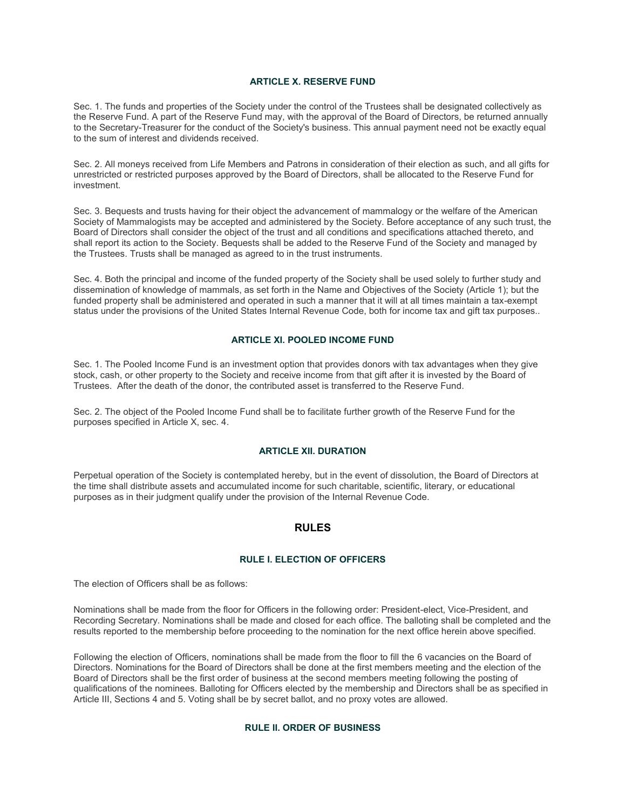### **ARTICLE X. RESERVE FUND**

Sec. 1. The funds and properties of the Society under the control of the Trustees shall be designated collectively as the Reserve Fund. A part of the Reserve Fund may, with the approval of the Board of Directors, be returned annually to the Secretary-Treasurer for the conduct of the Society's business. This annual payment need not be exactly equal to the sum of interest and dividends received.

Sec. 2. All moneys received from Life Members and Patrons in consideration of their election as such, and all gifts for unrestricted or restricted purposes approved by the Board of Directors, shall be allocated to the Reserve Fund for investment.

Sec. 3. Bequests and trusts having for their object the advancement of mammalogy or the welfare of the American Society of Mammalogists may be accepted and administered by the Society. Before acceptance of any such trust, the Board of Directors shall consider the object of the trust and all conditions and specifications attached thereto, and shall report its action to the Society. Bequests shall be added to the Reserve Fund of the Society and managed by the Trustees. Trusts shall be managed as agreed to in the trust instruments.

Sec. 4. Both the principal and income of the funded property of the Society shall be used solely to further study and dissemination of knowledge of mammals, as set forth in the Name and Objectives of the Society (Article 1); but the funded property shall be administered and operated in such a manner that it will at all times maintain a tax-exempt status under the provisions of the United States Internal Revenue Code, both for income tax and gift tax purposes..

#### **ARTICLE XI. POOLED INCOME FUND**

Sec. 1. The Pooled Income Fund is an investment option that provides donors with tax advantages when they give stock, cash, or other property to the Society and receive income from that gift after it is invested by the Board of Trustees. After the death of the donor, the contributed asset is transferred to the Reserve Fund.

Sec. 2. The object of the Pooled Income Fund shall be to facilitate further growth of the Reserve Fund for the purposes specified in Article X, sec. 4.

## **ARTICLE XII. DURATION**

Perpetual operation of the Society is contemplated hereby, but in the event of dissolution, the Board of Directors at the time shall distribute assets and accumulated income for such charitable, scientific, literary, or educational purposes as in their judgment qualify under the provision of the Internal Revenue Code.

## **RULES**

## **RULE I. ELECTION OF OFFICERS**

The election of Officers shall be as follows:

Nominations shall be made from the floor for Officers in the following order: President-elect, Vice-President, and Recording Secretary. Nominations shall be made and closed for each office. The balloting shall be completed and the results reported to the membership before proceeding to the nomination for the next office herein above specified.

Following the election of Officers, nominations shall be made from the floor to fill the 6 vacancies on the Board of Directors. Nominations for the Board of Directors shall be done at the first members meeting and the election of the Board of Directors shall be the first order of business at the second members meeting following the posting of qualifications of the nominees. Balloting for Officers elected by the membership and Directors shall be as specified in Article III, Sections 4 and 5. Voting shall be by secret ballot, and no proxy votes are allowed.

#### **RULE II. ORDER OF BUSINESS**